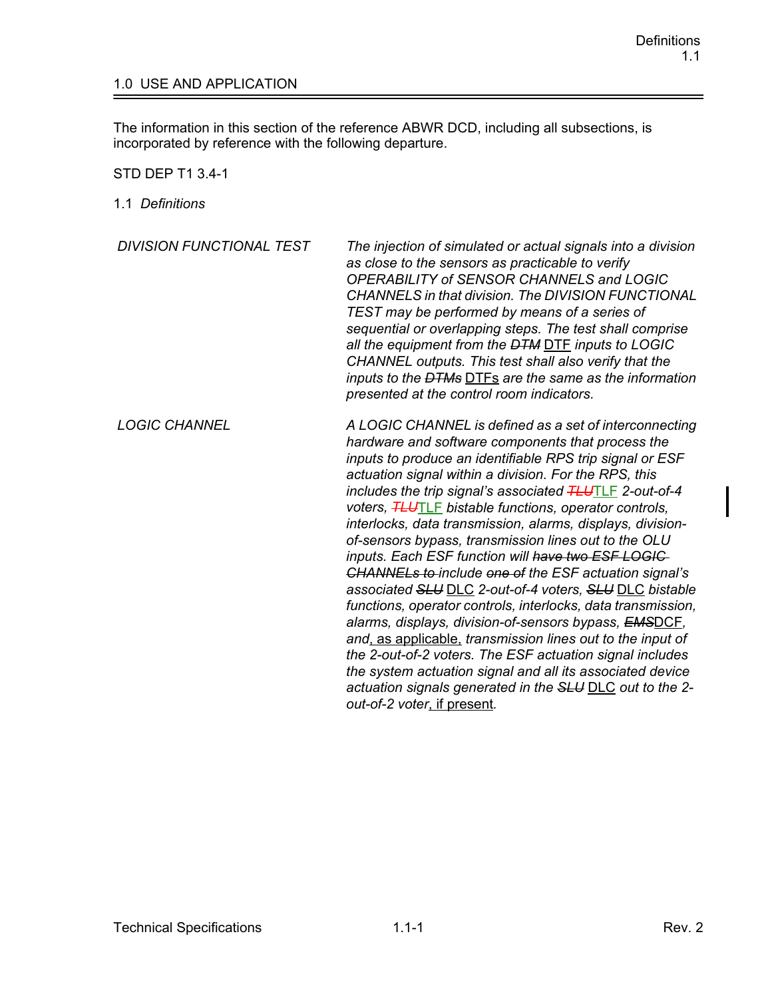## 1.0 USE AND APPLICATION

The information in this section of the reference ABWR DCD, including all subsections, is incorporated by reference with the following departure.

STD DEP T1 3.4-1

1.1 *Definitions*

| <b>DIVISION FUNCTIONAL TEST</b> | The injection of simulated or actual signals into a division<br>as close to the sensors as practicable to verify<br>OPERABILITY of SENSOR CHANNELS and LOGIC<br><b>CHANNELS in that division. The DIVISION FUNCTIONAL</b><br>TEST may be performed by means of a series of<br>sequential or overlapping steps. The test shall comprise<br>all the equipment from the <del>DTM</del> DTF inputs to LOGIC<br>CHANNEL outputs. This test shall also verify that the<br>inputs to the <del>DTMs</del> DTFs are the same as the information<br>presented at the control room indicators.                                                                                                                                                                                                                                                                                                                                                                                                                                                                                          |
|---------------------------------|------------------------------------------------------------------------------------------------------------------------------------------------------------------------------------------------------------------------------------------------------------------------------------------------------------------------------------------------------------------------------------------------------------------------------------------------------------------------------------------------------------------------------------------------------------------------------------------------------------------------------------------------------------------------------------------------------------------------------------------------------------------------------------------------------------------------------------------------------------------------------------------------------------------------------------------------------------------------------------------------------------------------------------------------------------------------------|
| <b>LOGIC CHANNEL</b>            | A LOGIC CHANNEL is defined as a set of interconnecting<br>hardware and software components that process the<br>inputs to produce an identifiable RPS trip signal or ESF<br>actuation signal within a division. For the RPS, this<br>includes the trip signal's associated <b>TLUTLE</b> 2-out-of-4<br>voters, HLUTLE bistable functions, operator controls,<br>interlocks, data transmission, alarms, displays, division-<br>of-sensors bypass, transmission lines out to the OLU<br>inputs. Each ESF function will have two ESF LOGIC-<br><b>CHANNELs to-include one of the ESF actuation signal's</b><br>associated SLU DLC 2-out-of-4 voters, SLU DLC bistable<br>functions, operator controls, interlocks, data transmission,<br>alarms, displays, division-of-sensors bypass, EMSDCE,<br>and, as applicable, transmission lines out to the input of<br>the 2-out-of-2 voters. The ESF actuation signal includes<br>the system actuation signal and all its associated device<br>actuation signals generated in the SLU DLC out to the 2-<br>out-of-2 voter, if present. |